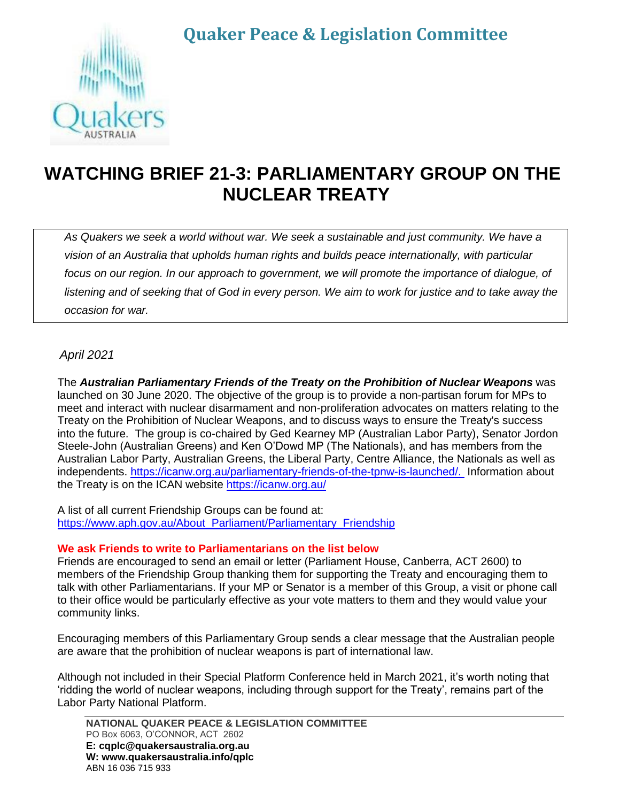# **Quaker Peace & Legislation Committee**



# **WATCHING BRIEF 21-3: PARLIAMENTARY GROUP ON THE NUCLEAR TREATY**

*As Quakers we seek a world without war. We seek a sustainable and just community. We have a vision of an Australia that upholds human rights and builds peace internationally, with particular focus on our region. In our approach to government, we will promote the importance of dialogue, of listening and of seeking that of God in every person. We aim to work for justice and to take away the occasion for war.*

### *April 2021*

The *Australian Parliamentary Friends of the Treaty on the Prohibition of Nuclear Weapons* was launched on 30 June 2020. The objective of the group is to provide a non-partisan forum for MPs to meet and interact with nuclear disarmament and non-proliferation advocates on matters relating to the Treaty on the Prohibition of Nuclear Weapons, and to discuss ways to ensure the Treaty's success into the future. The group is co-chaired by Ged Kearney MP (Australian Labor Party), Senator Jordon Steele-John (Australian Greens) and Ken O'Dowd MP (The Nationals), and has members from the Australian Labor Party, Australian Greens, the Liberal Party, Centre Alliance, the Nationals as well as independents. [https://icanw.org.au/parliamentary-friends-of-the-tpnw-is-launched/.](https://icanw.org.au/parliamentary-friends-of-the-tpnw-is-launched/) Information about the Treaty is on the ICAN website<https://icanw.org.au/>

A list of all current Friendship Groups can be found at: [https://www.aph.gov.au/About\\_Parliament/Parliamentary\\_Friendship](https://www.aph.gov.au/About_Parliament/Parliamentary_Friendship)

#### **We ask Friends to write to Parliamentarians on the list below**

Friends are encouraged to send an email or letter (Parliament House, Canberra, ACT 2600) to members of the Friendship Group thanking them for supporting the Treaty and encouraging them to talk with other Parliamentarians. If your MP or Senator is a member of this Group, a visit or phone call to their office would be particularly effective as your vote matters to them and they would value your community links.

Encouraging members of this Parliamentary Group sends a clear message that the Australian people are aware that the prohibition of nuclear weapons is part of international law.

Although not included in their Special Platform Conference held in March 2021, it's worth noting that 'ridding the world of nuclear weapons, including through support for the Treaty', remains part of the Labor Party National Platform.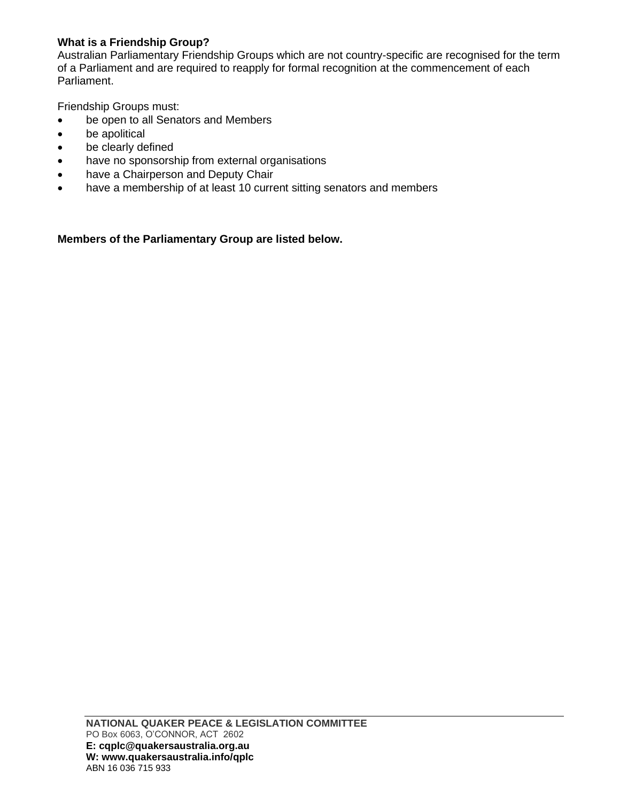### **What is a Friendship Group?**

Australian Parliamentary Friendship Groups which are not country-specific are recognised for the term of a Parliament and are required to reapply for formal recognition at the commencement of each Parliament.

Friendship Groups must:

- be open to all Senators and Members
- be apolitical
- be clearly defined
- have no sponsorship from external organisations
- have a Chairperson and Deputy Chair
- have a membership of at least 10 current sitting senators and members

**Members of the Parliamentary Group are listed below.**